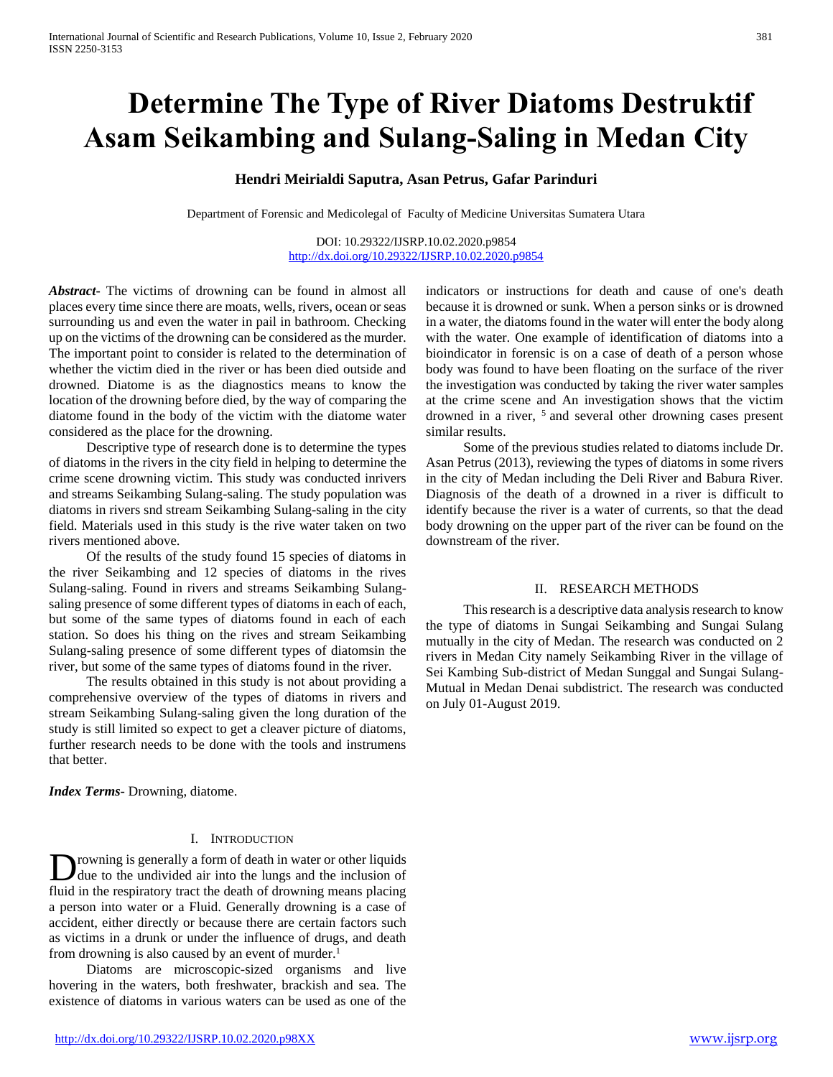# **Determine The Type of River Diatoms Destruktif Asam Seikambing and Sulang-Saling in Medan City**

## **Hendri Meirialdi Saputra, Asan Petrus, Gafar Parinduri**

Department of Forensic and Medicolegal of Faculty of Medicine Universitas Sumatera Utara

DOI: 10.29322/IJSRP.10.02.2020.p9854 <http://dx.doi.org/10.29322/IJSRP.10.02.2020.p9854>

*Abstract***-** The victims of drowning can be found in almost all places every time since there are moats, wells, rivers, ocean or seas surrounding us and even the water in pail in bathroom. Checking up on the victims of the drowning can be considered as the murder. The important point to consider is related to the determination of whether the victim died in the river or has been died outside and drowned. Diatome is as the diagnostics means to know the location of the drowning before died, by the way of comparing the diatome found in the body of the victim with the diatome water considered as the place for the drowning.

 Descriptive type of research done is to determine the types of diatoms in the rivers in the city field in helping to determine the crime scene drowning victim. This study was conducted inrivers and streams Seikambing Sulang-saling. The study population was diatoms in rivers snd stream Seikambing Sulang-saling in the city field. Materials used in this study is the rive water taken on two rivers mentioned above.

 Of the results of the study found 15 species of diatoms in the river Seikambing and 12 species of diatoms in the rives Sulang-saling. Found in rivers and streams Seikambing Sulangsaling presence of some different types of diatoms in each of each, but some of the same types of diatoms found in each of each station. So does his thing on the rives and stream Seikambing Sulang-saling presence of some different types of diatomsin the river, but some of the same types of diatoms found in the river.

 The results obtained in this study is not about providing a comprehensive overview of the types of diatoms in rivers and stream Seikambing Sulang-saling given the long duration of the study is still limited so expect to get a cleaver picture of diatoms, further research needs to be done with the tools and instrumens that better.

*Index Terms*- Drowning, diatome.

#### I. INTRODUCTION

rowning is generally a form of death in water or other liquids due to the undivided air into the lungs and the inclusion of fluid in the respiratory tract the death of drowning means placing a person into water or a Fluid. Generally drowning is a case of accident, either directly or because there are certain factors such as victims in a drunk or under the influence of drugs, and death from drowning is also caused by an event of murder.<sup>1</sup> D

 Diatoms are microscopic-sized organisms and live hovering in the waters, both freshwater, brackish and sea. The existence of diatoms in various waters can be used as one of the

indicators or instructions for death and cause of one's death because it is drowned or sunk. When a person sinks or is drowned in a water, the diatoms found in the water will enter the body along with the water. One example of identification of diatoms into a bioindicator in forensic is on a case of death of a person whose body was found to have been floating on the surface of the river the investigation was conducted by taking the river water samples at the crime scene and An investigation shows that the victim drowned in a river, <sup>5</sup> and several other drowning cases present similar results.

 Some of the previous studies related to diatoms include Dr. Asan Petrus (2013), reviewing the types of diatoms in some rivers in the city of Medan including the Deli River and Babura River. Diagnosis of the death of a drowned in a river is difficult to identify because the river is a water of currents, so that the dead body drowning on the upper part of the river can be found on the downstream of the river.

#### II. RESEARCH METHODS

 This research is a descriptive data analysis research to know the type of diatoms in Sungai Seikambing and Sungai Sulang mutually in the city of Medan. The research was conducted on 2 rivers in Medan City namely Seikambing River in the village of Sei Kambing Sub-district of Medan Sunggal and Sungai Sulang-Mutual in Medan Denai subdistrict. The research was conducted on July 01-August 2019.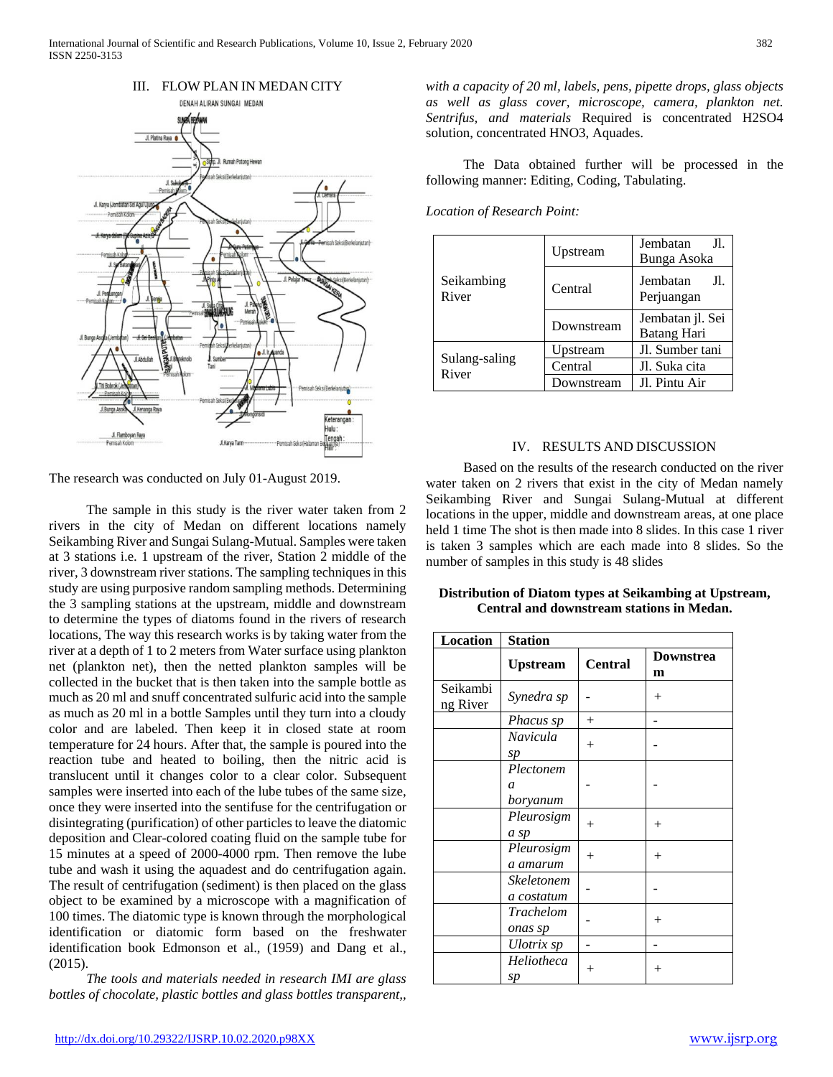

The research was conducted on July 01-August 2019.

 The sample in this study is the river water taken from 2 rivers in the city of Medan on different locations namely Seikambing River and Sungai Sulang-Mutual. Samples were taken at 3 stations i.e. 1 upstream of the river, Station 2 middle of the river, 3 downstream river stations. The sampling techniques in this study are using purposive random sampling methods. Determining the 3 sampling stations at the upstream, middle and downstream to determine the types of diatoms found in the rivers of research locations, The way this research works is by taking water from the river at a depth of 1 to 2 meters from Water surface using plankton net (plankton net), then the netted plankton samples will be collected in the bucket that is then taken into the sample bottle as much as 20 ml and snuff concentrated sulfuric acid into the sample as much as 20 ml in a bottle Samples until they turn into a cloudy color and are labeled. Then keep it in closed state at room temperature for 24 hours. After that, the sample is poured into the reaction tube and heated to boiling, then the nitric acid is translucent until it changes color to a clear color. Subsequent samples were inserted into each of the lube tubes of the same size, once they were inserted into the sentifuse for the centrifugation or disintegrating (purification) of other particles to leave the diatomic deposition and Clear-colored coating fluid on the sample tube for 15 minutes at a speed of 2000-4000 rpm. Then remove the lube tube and wash it using the aquadest and do centrifugation again. The result of centrifugation (sediment) is then placed on the glass object to be examined by a microscope with a magnification of 100 times. The diatomic type is known through the morphological identification or diatomic form based on the freshwater identification book Edmonson et al., (1959) and Dang et al., (2015).

 *The tools and materials needed in research IMI are glass bottles of chocolate, plastic bottles and glass bottles transparent,,* 

*with a capacity of 20 ml, labels, pens, pipette drops, glass objects as well as glass cover, microscope, camera, plankton net. Sentrifus, and materials* Required is concentrated H2SO4 solution, concentrated HNO3, Aquades.

 The Data obtained further will be processed in the following manner: Editing, Coding, Tabulating.

*Location of Research Point:*

|                        | Upstream   | Jembatan<br>Jl.<br>Bunga Asoka  |
|------------------------|------------|---------------------------------|
| Seikambing<br>River    | Central    | Jembatan<br>JI.<br>Perjuangan   |
|                        | Downstream | Jembatan jl. Sei<br>Batang Hari |
| Sulang-saling<br>River | Upstream   | Jl. Sumber tani                 |
|                        | Central    | Jl. Suka cita                   |
|                        | Downstream | Jl. Pintu Air                   |

## IV. RESULTS AND DISCUSSION

 Based on the results of the research conducted on the river water taken on 2 rivers that exist in the city of Medan namely Seikambing River and Sungai Sulang-Mutual at different locations in the upper, middle and downstream areas, at one place held 1 time The shot is then made into 8 slides. In this case 1 river is taken 3 samples which are each made into 8 slides. So the number of samples in this study is 48 slides

| Distribution of Diatom types at Seikambing at Upstream, |
|---------------------------------------------------------|
| Central and downstream stations in Medan.               |

| Location             | <b>Station</b>                         |                |                |
|----------------------|----------------------------------------|----------------|----------------|
|                      | <b>Upstream</b>                        | <b>Central</b> | Downstrea<br>m |
| Seikambi<br>ng River | Synedra sp                             |                | $^{+}$         |
|                      | Phacus sp                              | $^{+}$         |                |
|                      | Navicula<br>sp                         | $^{+}$         |                |
|                      | Plectonem<br>$\mathfrak a$<br>boryanum |                |                |
|                      | Pleurosigm<br>a sp                     | $^{+}$         | $^{+}$         |
|                      | Pleurosigm<br>a amarum                 | $^{+}$         | $^{+}$         |
|                      | Skeletonem<br>a costatum               |                |                |
|                      | Trachelom<br>onas sp                   |                | $^{+}$         |
|                      | Ulotrix sp                             |                |                |
|                      | Heliotheca<br>sp                       | $^{+}$         | $^{+}$         |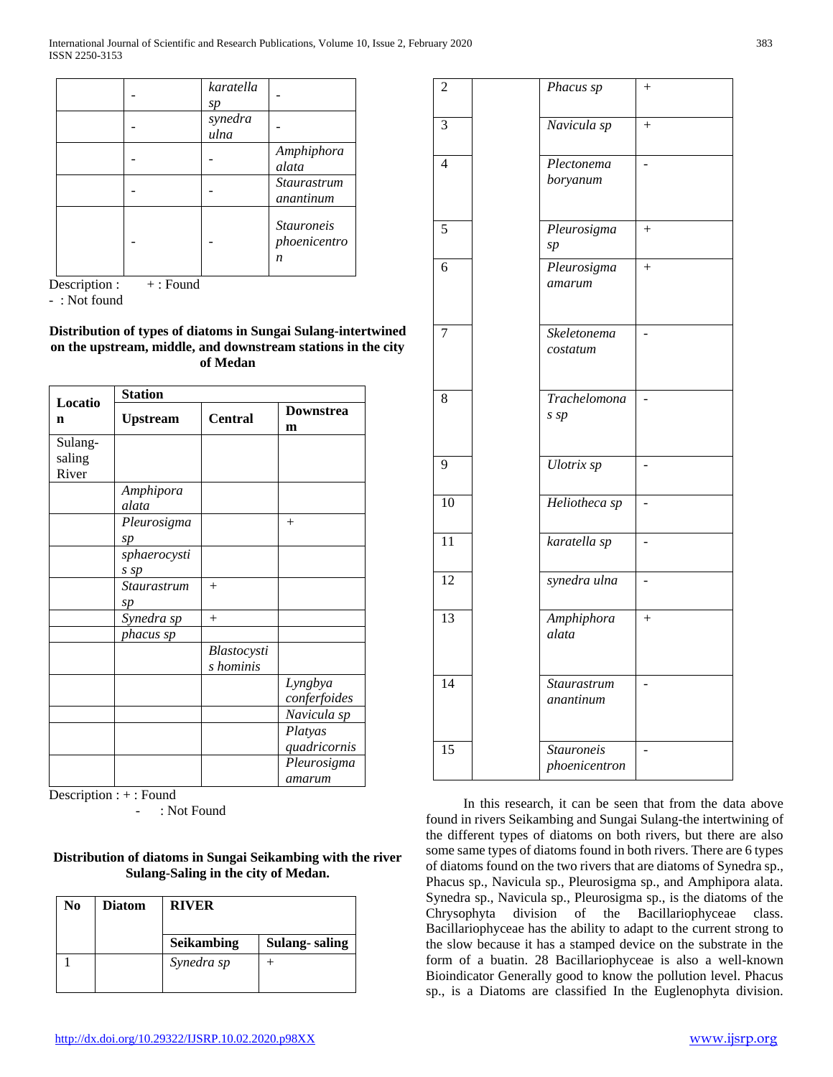|  | karatella<br>sp |                                        |
|--|-----------------|----------------------------------------|
|  | synedra<br>ulna |                                        |
|  |                 | Amphiphora<br>alata                    |
|  |                 | <b>Staurastrum</b><br>anantinum        |
|  |                 | <b>Stauroneis</b><br>phoenicentro<br>n |

Description : + : Found

- : Not found

**Distribution of types of diatoms in Sungai Sulang-intertwined on the upstream, middle, and downstream stations in the city of Medan**

|                   | <b>Station</b>       |                |                         |  |
|-------------------|----------------------|----------------|-------------------------|--|
| Locatio<br>n      | <b>Upstream</b>      | <b>Central</b> | <b>Downstrea</b><br>m   |  |
| Sulang-<br>saling |                      |                |                         |  |
| River             |                      |                |                         |  |
|                   | Amphipora<br>alata   |                |                         |  |
|                   | Pleurosigma<br>sp    |                | $^{+}$                  |  |
|                   | sphaerocysti<br>s sp |                |                         |  |
|                   | Staurastrum<br>sp    | $+$            |                         |  |
|                   | Synedra sp           | $+$            |                         |  |
|                   | phacus sp            | Blastocysti    |                         |  |
|                   |                      | s hominis      |                         |  |
|                   |                      |                | Lyngbya<br>conferfoides |  |
|                   |                      |                | Navicula sp             |  |
|                   |                      |                | Platyas<br>quadricornis |  |
|                   |                      |                | Pleurosigma<br>amarum   |  |

Description : + : Found

- : Not Found

**Distribution of diatoms in Sungai Seikambing with the river Sulang-Saling in the city of Medan.**

| <b>Diatom</b> | <b>RIVER</b>      |               |
|---------------|-------------------|---------------|
|               | <b>Seikambing</b> | Sulang-saling |
|               | Synedra sp        |               |
|               |                   |               |

| $\overline{2}$  | Phacus sp                          | $\! + \!$ |
|-----------------|------------------------------------|-----------|
| $\overline{3}$  | Navicula sp                        | $^{+}$    |
| $\overline{4}$  | Plectonema<br>boryanum             |           |
| 5               | Pleurosigma<br>sp                  | $+$       |
| $\overline{6}$  | Pleurosigma<br>amarum              | $^{+}$    |
| 7               | Skeletonema<br>costatum            |           |
| 8               | Trachelomona<br>$s$ $sp$           |           |
| 9               | Ulotrix sp                         |           |
| 10              | Heliotheca sp                      |           |
| $\overline{11}$ | karatella sp                       |           |
| $\overline{12}$ | synedra ulna                       |           |
| $\overline{13}$ | Amphiphora<br>alata                | $^{+}$    |
| $\overline{14}$ | Staurastrum<br>anantinum           |           |
| $\overline{15}$ | <b>Stauroneis</b><br>phoenicentron |           |

 In this research, it can be seen that from the data above found in rivers Seikambing and Sungai Sulang-the intertwining of the different types of diatoms on both rivers, but there are also some same types of diatoms found in both rivers. There are 6 types of diatoms found on the two rivers that are diatoms of Synedra sp., Phacus sp., Navicula sp., Pleurosigma sp., and Amphipora alata. Synedra sp., Navicula sp., Pleurosigma sp., is the diatoms of the Chrysophyta division of the Bacillariophyceae class. Bacillariophyceae has the ability to adapt to the current strong to the slow because it has a stamped device on the substrate in the form of a buatin. 28 Bacillariophyceae is also a well-known Bioindicator Generally good to know the pollution level. Phacus sp., is a Diatoms are classified In the Euglenophyta division.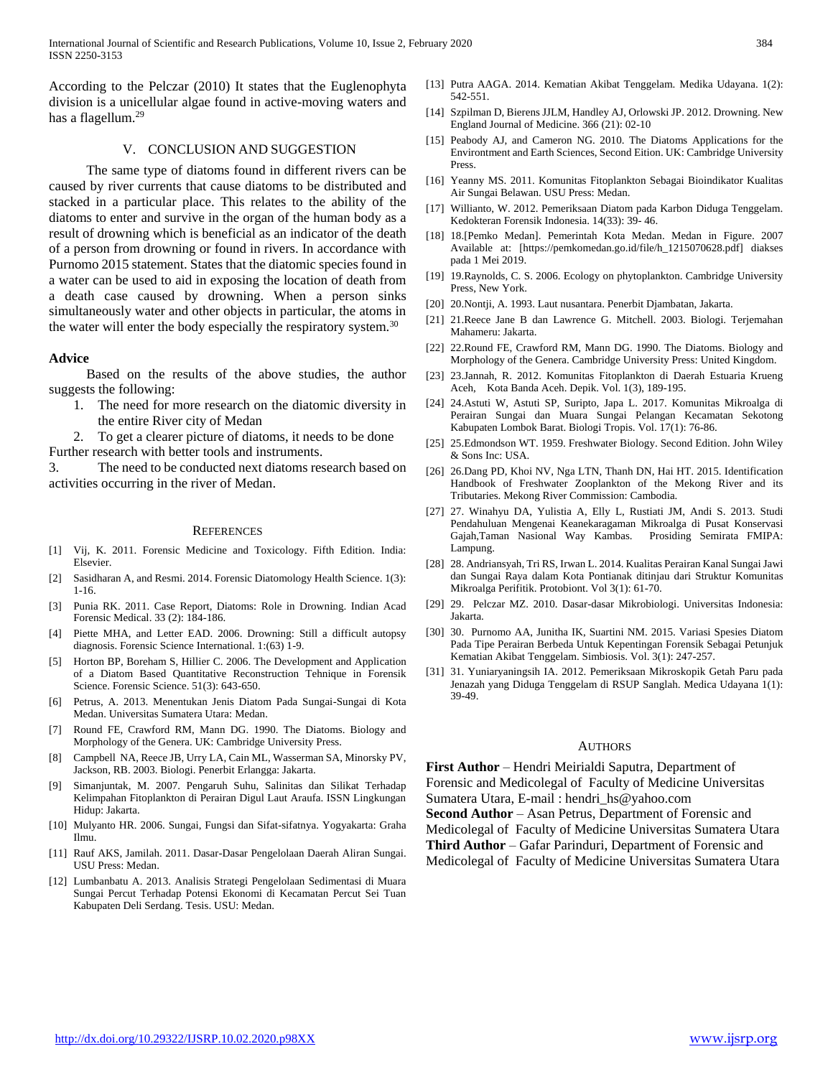According to the Pelczar (2010) It states that the Euglenophyta division is a unicellular algae found in active-moving waters and has a flagellum.<sup>29</sup>

## V. CONCLUSION AND SUGGESTION

 The same type of diatoms found in different rivers can be caused by river currents that cause diatoms to be distributed and stacked in a particular place. This relates to the ability of the diatoms to enter and survive in the organ of the human body as a result of drowning which is beneficial as an indicator of the death of a person from drowning or found in rivers. In accordance with Purnomo 2015 statement. States that the diatomic species found in a water can be used to aid in exposing the location of death from a death case caused by drowning. When a person sinks simultaneously water and other objects in particular, the atoms in the water will enter the body especially the respiratory system.<sup>30</sup>

## **Advice**

 Based on the results of the above studies, the author suggests the following:

- 1. The need for more research on the diatomic diversity in the entire River city of Medan
- 2. To get a clearer picture of diatoms, it needs to be done

Further research with better tools and instruments.

3. The need to be conducted next diatoms research based on activities occurring in the river of Medan.

#### **REFERENCES**

- [1] Vij, K. 2011. Forensic Medicine and Toxicology. Fifth Edition. India: Elsevier.
- [2] Sasidharan A, and Resmi. 2014. Forensic Diatomology Health Science. 1(3): 1-16.
- [3] Punia RK. 2011. Case Report, Diatoms: Role in Drowning. Indian Acad Forensic Medical. 33 (2): 184-186.
- [4] Piette MHA, and Letter EAD. 2006. Drowning: Still a difficult autopsy diagnosis. Forensic Science International. 1:(63) 1-9.
- [5] Horton BP, Boreham S, Hillier C. 2006. The Development and Application of a Diatom Based Quantitative Reconstruction Tehnique in Forensik Science. Forensic Science. 51(3): 643-650.
- [6] Petrus, A. 2013. Menentukan Jenis Diatom Pada Sungai-Sungai di Kota Medan. Universitas Sumatera Utara: Medan.
- [7] Round FE, Crawford RM, Mann DG. 1990. The Diatoms. Biology and Morphology of the Genera. UK: Cambridge University Press.
- [8] Campbell NA, Reece JB, Urry LA, Cain ML, Wasserman SA, Minorsky PV, Jackson, RB. 2003. Biologi. Penerbit Erlangga: Jakarta.
- [9] Simanjuntak, M. 2007. Pengaruh Suhu, Salinitas dan Silikat Terhadap Kelimpahan Fitoplankton di Perairan Digul Laut Araufa. ISSN Lingkungan Hidup: Jakarta.
- [10] Mulyanto HR. 2006. Sungai, Fungsi dan Sifat-sifatnya. Yogyakarta: Graha Ilmu.
- [11] Rauf AKS, Jamilah. 2011. Dasar-Dasar Pengelolaan Daerah Aliran Sungai. USU Press: Medan.
- [12] Lumbanbatu A. 2013. Analisis Strategi Pengelolaan Sedimentasi di Muara Sungai Percut Terhadap Potensi Ekonomi di Kecamatan Percut Sei Tuan Kabupaten Deli Serdang. Tesis. USU: Medan.
- [13] Putra AAGA. 2014. Kematian Akibat Tenggelam. Medika Udayana. 1(2): 542-551.
- [14] Szpilman D, Bierens JJLM, Handley AJ, Orlowski JP. 2012. Drowning. New England Journal of Medicine. 366 (21): 02-10
- [15] Peabody AJ, and Cameron NG. 2010. The Diatoms Applications for the Environtment and Earth Sciences, Second Eition. UK: Cambridge University Press.
- [16] Yeanny MS. 2011. Komunitas Fitoplankton Sebagai Bioindikator Kualitas Air Sungai Belawan. USU Press: Medan.
- [17] Willianto, W. 2012. Pemeriksaan Diatom pada Karbon Diduga Tenggelam. Kedokteran Forensik Indonesia. 14(33): 39- 46.
- [18] 18.[Pemko Medan]. Pemerintah Kota Medan. Medan in Figure. 2007 Available at: [https://pemkomedan.go.id/file/h\_1215070628.pdf] diakses pada 1 Mei 2019.
- [19] 19.Raynolds, C. S. 2006. Ecology on phytoplankton. Cambridge University Press, New York.
- [20] 20.Nontji, A. 1993. Laut nusantara. Penerbit Djambatan, Jakarta.
- [21] 21.Reece Jane B dan Lawrence G. Mitchell. 2003. Biologi. Terjemahan Mahameru: Jakarta.
- [22] 22.Round FE, Crawford RM, Mann DG. 1990. The Diatoms. Biology and Morphology of the Genera. Cambridge University Press: United Kingdom.
- [23] 23.Jannah, R. 2012. Komunitas Fitoplankton di Daerah Estuaria Krueng Aceh, Kota Banda Aceh. Depik. Vol. 1(3), 189-195.
- [24] 24.Astuti W, Astuti SP, Suripto, Japa L. 2017. Komunitas Mikroalga di Perairan Sungai dan Muara Sungai Pelangan Kecamatan Sekotong Kabupaten Lombok Barat. Biologi Tropis. Vol. 17(1): 76-86.
- [25] 25.Edmondson WT. 1959. Freshwater Biology. Second Edition. John Wiley & Sons Inc: USA.
- [26] 26.Dang PD, Khoi NV, Nga LTN, Thanh DN, Hai HT. 2015. Identification Handbook of Freshwater Zooplankton of the Mekong River and its Tributaries. Mekong River Commission: Cambodia.
- [27] 27. Winahyu DA, Yulistia A, Elly L, Rustiati JM, Andi S. 2013. Studi Pendahuluan Mengenai Keanekaragaman Mikroalga di Pusat Konservasi Gajah,Taman Nasional Way Kambas. Prosiding Semirata FMIPA: Lampung.
- [28] 28. Andriansyah, Tri RS, Irwan L. 2014. Kualitas Perairan Kanal Sungai Jawi dan Sungai Raya dalam Kota Pontianak ditinjau dari Struktur Komunitas Mikroalga Perifitik. Protobiont. Vol 3(1): 61-70.
- [29] 29. Pelczar MZ. 2010. Dasar-dasar Mikrobiologi. Universitas Indonesia: Jakarta.
- [30] 30. Purnomo AA, Junitha IK, Suartini NM. 2015. Variasi Spesies Diatom Pada Tipe Perairan Berbeda Untuk Kepentingan Forensik Sebagai Petunjuk Kematian Akibat Tenggelam. Simbiosis. Vol. 3(1): 247-257.
- [31] 31. Yuniaryaningsih IA. 2012. Pemeriksaan Mikroskopik Getah Paru pada Jenazah yang Diduga Tenggelam di RSUP Sanglah. Medica Udayana 1(1): 39-49.

#### AUTHORS

**First Author** – Hendri Meirialdi Saputra, Department of Forensic and Medicolegal of Faculty of Medicine Universitas Sumatera Utara, E-mail : hendri\_hs@yahoo.com **Second Author** – Asan Petrus, Department of Forensic and Medicolegal of Faculty of Medicine Universitas Sumatera Utara **Third Author** – Gafar Parinduri, Department of Forensic and Medicolegal of Faculty of Medicine Universitas Sumatera Utara